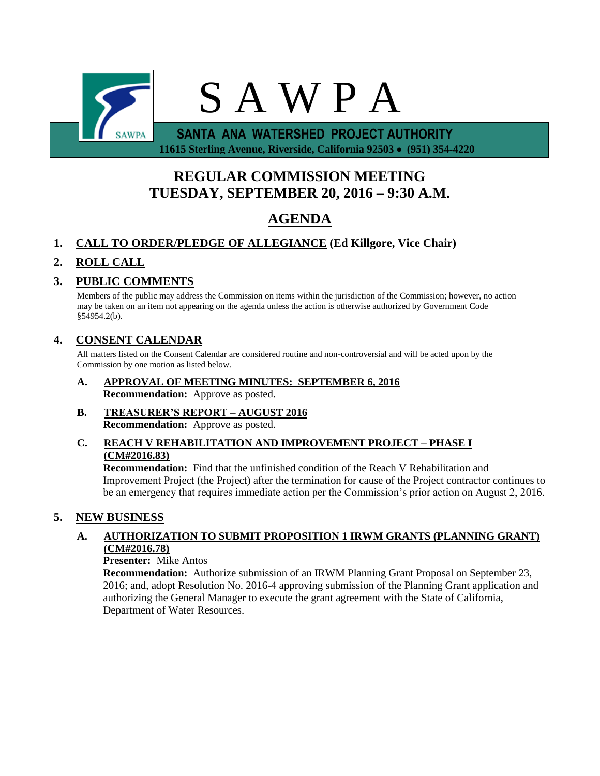

**REGULAR COMMISSION MEETING TUESDAY, SEPTEMBER 20, 2016 – 9:30 A.M.**

# **AGENDA**

## **1. CALL TO ORDER/PLEDGE OF ALLEGIANCE (Ed Killgore, Vice Chair)**

## **2. ROLL CALL**

### **3. PUBLIC COMMENTS**

Members of the public may address the Commission on items within the jurisdiction of the Commission; however, no action may be taken on an item not appearing on the agenda unless the action is otherwise authorized by Government Code §54954.2(b).

### **4. CONSENT CALENDAR**

All matters listed on the Consent Calendar are considered routine and non-controversial and will be acted upon by the Commission by one motion as listed below.

- **A. APPROVAL OF MEETING MINUTES: SEPTEMBER 6, 2016 Recommendation:** Approve as posted.
- **B. TREASURER'S REPORT – AUGUST 2016 Recommendation:** Approve as posted.

### **C. REACH V REHABILITATION AND IMPROVEMENT PROJECT – PHASE I (CM#2016.83)**

**Recommendation:** Find that the unfinished condition of the Reach V Rehabilitation and Improvement Project (the Project) after the termination for cause of the Project contractor continues to be an emergency that requires immediate action per the Commission's prior action on August 2, 2016.

### **5. NEW BUSINESS**

### **A. AUTHORIZATION TO SUBMIT PROPOSITION 1 IRWM GRANTS (PLANNING GRANT) (CM#2016.78)**

### **Presenter:** Mike Antos

**Recommendation:** Authorize submission of an IRWM Planning Grant Proposal on September 23, 2016; and, adopt Resolution No. 2016-4 approving submission of the Planning Grant application and authorizing the General Manager to execute the grant agreement with the State of California, Department of Water Resources.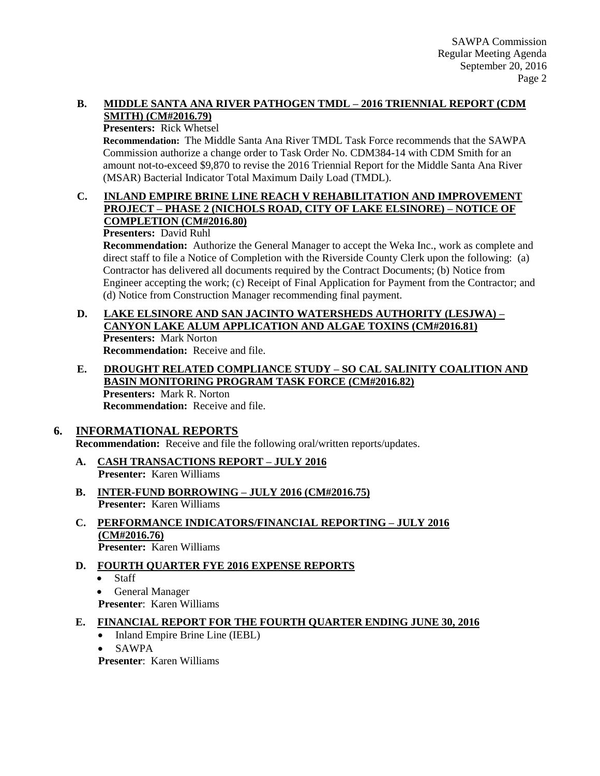### **B. MIDDLE SANTA ANA RIVER PATHOGEN TMDL – 2016 TRIENNIAL REPORT (CDM SMITH) (CM#2016.79)**

#### **Presenters:** Rick Whetsel

**Recommendation:** The Middle Santa Ana River TMDL Task Force recommends that the SAWPA Commission authorize a change order to Task Order No. CDM384-14 with CDM Smith for an amount not-to-exceed \$9,870 to revise the 2016 Triennial Report for the Middle Santa Ana River (MSAR) Bacterial Indicator Total Maximum Daily Load (TMDL).

### **C. INLAND EMPIRE BRINE LINE REACH V REHABILITATION AND IMPROVEMENT PROJECT – PHASE 2 (NICHOLS ROAD, CITY OF LAKE ELSINORE) – NOTICE OF COMPLETION (CM#2016.80)**

**Presenters:** David Ruhl

**Recommendation:** Authorize the General Manager to accept the Weka Inc., work as complete and direct staff to file a Notice of Completion with the Riverside County Clerk upon the following: (a) Contractor has delivered all documents required by the Contract Documents; (b) Notice from Engineer accepting the work; (c) Receipt of Final Application for Payment from the Contractor; and (d) Notice from Construction Manager recommending final payment.

# **D. LAKE ELSINORE AND SAN JACINTO WATERSHEDS AUTHORITY (LESJWA) – CANYON LAKE ALUM APPLICATION AND ALGAE TOXINS (CM#2016.81) Presenters:** Mark Norton

**Recommendation:** Receive and file.

**E. DROUGHT RELATED COMPLIANCE STUDY – SO CAL SALINITY COALITION AND BASIN MONITORING PROGRAM TASK FORCE (CM#2016.82) Presenters:** Mark R. Norton **Recommendation:** Receive and file.

### **6. INFORMATIONAL REPORTS**

**Recommendation:** Receive and file the following oral/written reports/updates.

- **A. CASH TRANSACTIONS REPORT – JULY 2016 Presenter:** Karen Williams
- **B. INTER-FUND BORROWING – JULY 2016 (CM#2016.75) Presenter:** Karen Williams
- **C. PERFORMANCE INDICATORS/FINANCIAL REPORTING – JULY 2016 (CM#2016.76) Presenter:** Karen Williams
- **D. FOURTH QUARTER FYE 2016 EXPENSE REPORTS**
	- Staff
	- General Manager

**Presenter**: Karen Williams

### **E. FINANCIAL REPORT FOR THE FOURTH QUARTER ENDING JUNE 30, 2016**

- Inland Empire Brine Line (IEBL)
- SAWPA

**Presenter**: Karen Williams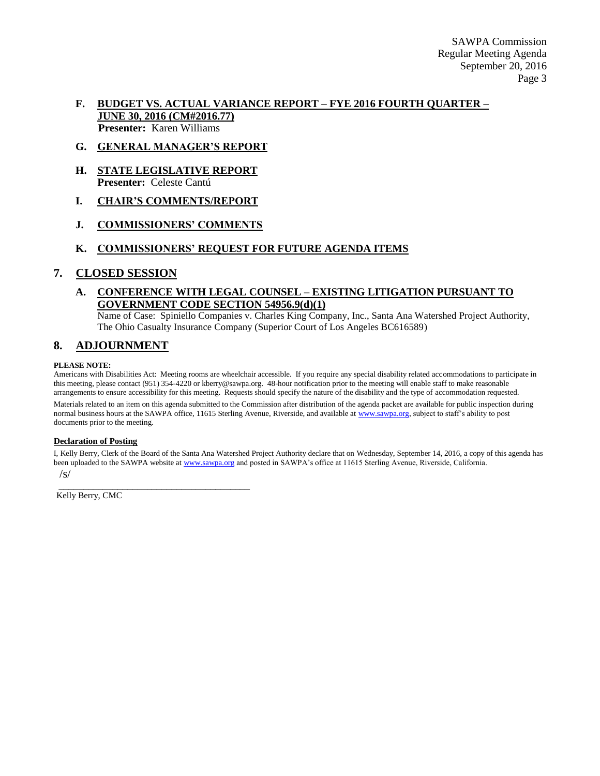### **F. BUDGET VS. ACTUAL VARIANCE REPORT – FYE 2016 FOURTH QUARTER – JUNE 30, 2016 (CM#2016.77) Presenter:** Karen Williams

- **G. GENERAL MANAGER'S REPORT**
- **H. STATE LEGISLATIVE REPORT Presenter:** Celeste Cantú
- **I. CHAIR'S COMMENTS/REPORT**
- **J. COMMISSIONERS' COMMENTS**

### **K. COMMISSIONERS' REQUEST FOR FUTURE AGENDA ITEMS**

### **7. CLOSED SESSION**

### **A. CONFERENCE WITH LEGAL COUNSEL – EXISTING LITIGATION PURSUANT TO GOVERNMENT CODE SECTION 54956.9(d)(1)**

Name of Case: Spiniello Companies v. Charles King Company, Inc., Santa Ana Watershed Project Authority, The Ohio Casualty Insurance Company (Superior Court of Los Angeles BC616589)

### **8. ADJOURNMENT**

#### **PLEASE NOTE:**

Americans with Disabilities Act: Meeting rooms are wheelchair accessible. If you require any special disability related accommodations to participate in this meeting, please contact (951) 354-4220 or kberry@sawpa.org. 48-hour notification prior to the meeting will enable staff to make reasonable arrangements to ensure accessibility for this meeting. Requests should specify the nature of the disability and the type of accommodation requested.

Materials related to an item on this agenda submitted to the Commission after distribution of the agenda packet are available for public inspection during normal business hours at the SAWPA office, 11615 Sterling Avenue, Riverside, and available a[t www.sawpa.org,](http://www.sawpa.org/) subject to staff's ability to post documents prior to the meeting.

#### **Declaration of Posting**

I, Kelly Berry, Clerk of the Board of the Santa Ana Watershed Project Authority declare that on Wednesday, September 14, 2016, a copy of this agenda has been uploaded to the SAWPA website a[t www.sawpa.org](http://www.sawpa.org/) and posted in SAWPA's office at 11615 Sterling Avenue, Riverside, California. /s/

\_\_\_\_\_\_\_\_\_\_\_\_\_\_\_\_\_\_\_\_\_\_\_\_\_\_\_\_\_\_\_\_\_\_\_\_\_\_\_ Kelly Berry, CMC